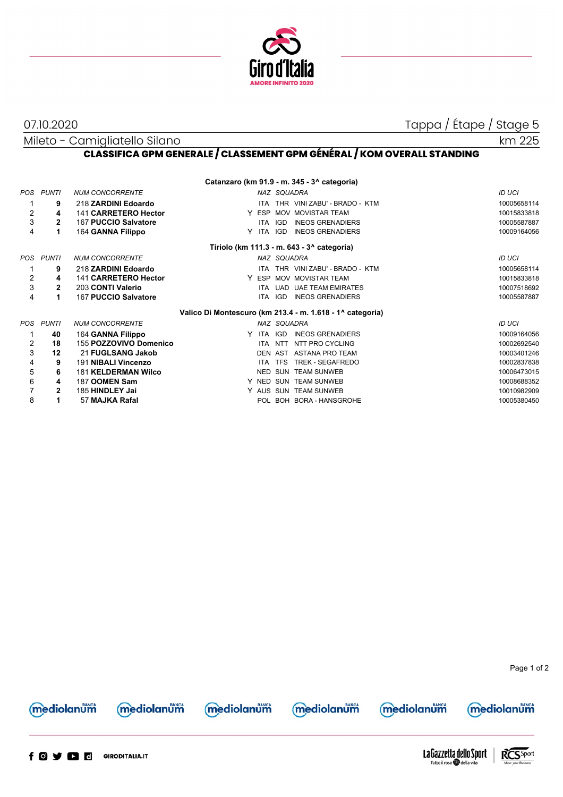

07.10.2020 Tappa / Étape / Stage 5

Mileto - Camigliatello Silano

km 225

## **CLASSIFICA GPM GENERALE / CLASSEMENT GPM GÉNÉRAL / KOM OVERALL STANDING**

| Catanzaro (km 91.9 - m. 345 - 3^ categoria)            |                                                           |                            |                 |            |                              |  |               |  |  |
|--------------------------------------------------------|-----------------------------------------------------------|----------------------------|-----------------|------------|------------------------------|--|---------------|--|--|
| POS.                                                   | <b>PUNTI</b>                                              | <b>NUM CONCORRENTE</b>     |                 |            | NAZ SQUADRA                  |  | ID UCI        |  |  |
|                                                        | 9                                                         | 218 ZARDINI Edoardo        | <b>ITA</b>      |            | THR VINI ZABU' - BRADO - KTM |  | 10005658114   |  |  |
| $\overline{2}$                                         | 4                                                         | 141 CARRETERO Hector       | Y ESP           |            | <b>MOV MOVISTAR TEAM</b>     |  | 10015833818   |  |  |
| 3                                                      | $\mathbf{2}$                                              | 167 PUCCIO Salvatore       | ITA.            | IGD        | <b>INEOS GRENADIERS</b>      |  | 10005587887   |  |  |
| 4                                                      | 1                                                         | 164 GANNA Filippo          | <b>ITA</b><br>Y | <b>IGD</b> | <b>INEOS GRENADIERS</b>      |  | 10009164056   |  |  |
| Tiriolo (km 111.3 - m. 643 - 3 <sup>^</sup> categoria) |                                                           |                            |                 |            |                              |  |               |  |  |
| <b>POS</b>                                             | <b>PUNTI</b>                                              | <b>NUM CONCORRENTE</b>     |                 |            | NAZ SQUADRA                  |  | ID UCI        |  |  |
|                                                        | 9                                                         | 218 ZARDINI Edoardo        | <b>ITA</b>      |            | THR VINI ZABU' - BRADO - KTM |  | 10005658114   |  |  |
| 2                                                      | 4                                                         | 141 CARRETERO Hector       | Y ESP           |            | MOV MOVISTAR TEAM            |  | 10015833818   |  |  |
| 3                                                      | $\overline{2}$                                            | 203 CONTI Valerio          | ITA.            |            | <b>UAD UAE TEAM EMIRATES</b> |  | 10007518692   |  |  |
| 4                                                      | 1                                                         | 167 PUCCIO Salvatore       | ITA             | <b>IGD</b> | <b>INEOS GRENADIERS</b>      |  | 10005587887   |  |  |
|                                                        | Valico Di Montescuro (km 213.4 - m. 1.618 - 1^ categoria) |                            |                 |            |                              |  |               |  |  |
| <b>POS</b>                                             | <b>PUNTI</b>                                              | <b>NUM CONCORRENTE</b>     |                 |            | NAZ SQUADRA                  |  | <b>ID UCI</b> |  |  |
|                                                        | 40                                                        | 164 GANNA Filippo          | Y<br>ITA        | IGD        | <b>INEOS GRENADIERS</b>      |  | 10009164056   |  |  |
| $\overline{2}$                                         | 18                                                        | 155 POZZOVIVO Domenico     | <b>ITA</b>      | <b>NTT</b> | NTT PRO CYCLING              |  | 10002692540   |  |  |
| 3                                                      | 12                                                        | 21 FUGLSANG Jakob          |                 | DEN AST    | <b>ASTANA PRO TEAM</b>       |  | 10003401246   |  |  |
| 4                                                      | 9                                                         | 191 NIBALI Vincenzo        | <b>ITA</b>      | <b>TFS</b> | <b>TREK - SEGAFREDO</b>      |  | 10002837838   |  |  |
| 5                                                      | 6                                                         | <b>181 KELDERMAN Wilco</b> | <b>NED</b>      | SUN        | <b>TEAM SUNWEB</b>           |  | 10006473015   |  |  |
| 6                                                      | 4                                                         | 187 OOMEN Sam              |                 |            | Y NED SUN TEAM SUNWEB        |  | 10008688352   |  |  |
| 7                                                      | $\mathbf{2}$                                              | 185 HINDLEY Jai            |                 |            | Y AUS SUN TEAM SUNWEB        |  | 10010982909   |  |  |
| 8                                                      |                                                           | 57 MAJKA Rafal             | POL.            |            | <b>BOH BORA - HANSGROHE</b>  |  | 10005380450   |  |  |





mediolanum





**mediolanum**